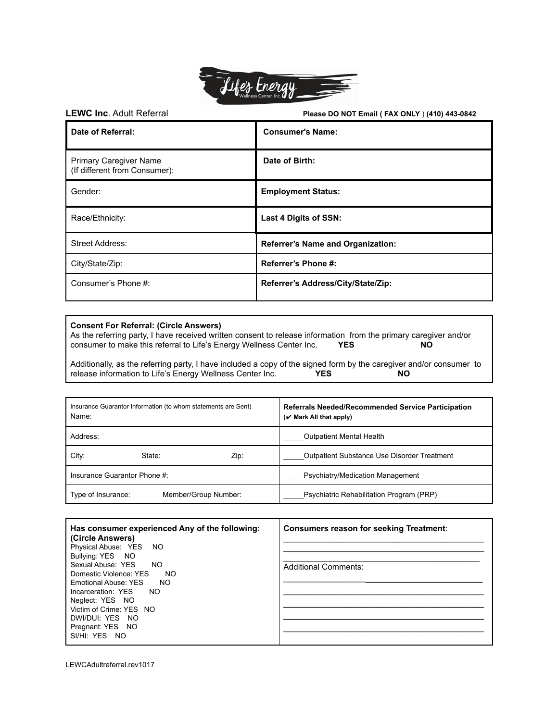

**LEWC Inc**. Adult Referral **Please DO NOT Email ( FAX ONLY** ) **(410) 443-0842**

| Date of Referral:                                              | <b>Consumer's Name:</b>                  |
|----------------------------------------------------------------|------------------------------------------|
| <b>Primary Caregiver Name</b><br>(If different from Consumer): | Date of Birth:                           |
| Gender:                                                        | <b>Employment Status:</b>                |
| Race/Ethnicity:                                                | Last 4 Digits of SSN:                    |
| <b>Street Address:</b>                                         | <b>Referrer's Name and Organization:</b> |
| City/State/Zip:                                                | Referrer's Phone #:                      |
| Consumer's Phone #:                                            | Referrer's Address/City/State/Zip:       |

## **Consent For Referral: (Circle Answers)**

As the referring party, I have received written consent to release information from the primary caregiver and/or consumer to make this referral to Life's Energy Wellness Center Inc. **YES NO**

Additionally, as the referring party, I have included a copy of the signed form by the caregiver and/or consumer to release information to Life's Energy Wellness Center Inc. **YES NO**

| Insurance Guarantor Information (to whom statements are Sent)<br>Name: | Referrals Needed/Recommended Service Participation<br>$(\vee$ Mark All that apply) |
|------------------------------------------------------------------------|------------------------------------------------------------------------------------|
| Address:                                                               | <b>Outpatient Mental Health</b>                                                    |
| City:<br>State:<br>Zip:                                                | <b>Outpatient Substance Use Disorder Treatment</b>                                 |
| Insurance Guarantor Phone #:                                           | Psychiatry/Medication Management                                                   |
| Type of Insurance:<br>Member/Group Number:                             | Psychiatric Rehabilitation Program (PRP)                                           |

| Has consumer experienced Any of the following: | <b>Consumers reason for seeking Treatment:</b> |
|------------------------------------------------|------------------------------------------------|
| (Circle Answers)                               |                                                |
| Physical Abuse: YES NO                         |                                                |
| Bullying: YES NO                               |                                                |
| Sexual Abuse: YES<br>NO                        | <b>Additional Comments:</b>                    |
| Domestic Violence: YES<br>NO                   |                                                |
| Emotional Abuse: YES<br>NO                     |                                                |
| Incarceration: YES NO                          |                                                |
| Neglect: YES NO                                |                                                |
| Victim of Crime: YES NO                        |                                                |
| DWI/DUI: YES NO                                |                                                |
| Pregnant: YES NO                               |                                                |
| SI/HI: YES NO                                  |                                                |
|                                                |                                                |